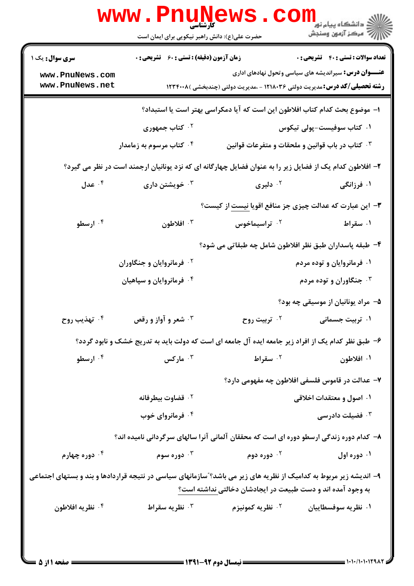|                                                                                                                                                                                  | <b>www.Pnunews</b><br>حضرت علی(ع): دانش راهبر نیکویی برای ایمان است                                      |                                                                                   | (د دانشگاه پيام نور)<br>(د دانشگاه پيام نور)<br>(د مرکز آزمون وسنڊش |  |
|----------------------------------------------------------------------------------------------------------------------------------------------------------------------------------|----------------------------------------------------------------------------------------------------------|-----------------------------------------------------------------------------------|---------------------------------------------------------------------|--|
| <b>سری سوال :</b> یک ۱                                                                                                                                                           | <b>زمان آزمون (دقیقه) : تستی : 60 ٪ تشریحی : 0</b>                                                       |                                                                                   | <b>تعداد سوالات : تستی : 40 قشریحی : 0</b>                          |  |
| www.PnuNews.com<br>www.PnuNews.net                                                                                                                                               |                                                                                                          | <b>رشته تحصیلی/کد درس:</b> مدیریت دولتی ۱۲۱۸۰۳۶ - ،مدیریت دولتی (چندبخشی )۱۲۳۴۰۰۸ | <b>عنـــوان درس:</b> سیراندیشه های سیاسی وتحول نهادهای اداری        |  |
|                                                                                                                                                                                  | ا– موضوع بحث كدام كتاب افلاطون اين است كه آيا دمكراسي بهتر است يا استبداد؟                               |                                                                                   |                                                                     |  |
|                                                                                                                                                                                  | ۰۲ کتاب جمهوری                                                                                           |                                                                                   | ۰۱ کتاب سوفیست-پولی تیکوس                                           |  |
|                                                                                                                                                                                  | ۰۴ کتاب مرسوم به زمامدار                                                                                 | ۰۳ کتاب در باب قوانین و ملحقات و متفرعات قوانین                                   |                                                                     |  |
|                                                                                                                                                                                  | ۲- افلاطون کدام یک از فضایل زیر را به عنوان فضایل چهارگانه ای که نزد یونانیان ارجمند است در نظر می گیرد؟ |                                                                                   |                                                                     |  |
| ۰۴ عدل $\cdot$                                                                                                                                                                   | خویشتن داری $\cdot$                                                                                      | ۰ <sup>۲</sup> دلیری                                                              | ۰۱ فرزانگی                                                          |  |
|                                                                                                                                                                                  |                                                                                                          | ۳- این عبارت که عدالت چیزی جز منافع اقویا نیست از کیست؟                           |                                                                     |  |
| ۰۴ ارسطو                                                                                                                                                                         | ۰۳ افلاطون                                                                                               | ۰ <sup>۲</sup> تراسیماخوس                                                         | ۰۱ سقراط                                                            |  |
|                                                                                                                                                                                  |                                                                                                          | ۴– طبقه پاسداران طبق نظر افلاطون شامل چه طبقاتی می شود؟                           |                                                                     |  |
|                                                                                                                                                                                  | <sup>۲ .</sup> فرمانروایان و جنگاوران                                                                    |                                                                                   | ۰۱ فرمانروایان و توده مردم                                          |  |
|                                                                                                                                                                                  | ۰۴ فرمانروایان و سپاهیان                                                                                 |                                                                                   | ۰۳ جنگاوران و توده مردم                                             |  |
|                                                                                                                                                                                  |                                                                                                          |                                                                                   | ۵– مراد یونانیان از موسیقی چه بود؟                                  |  |
| ۰۴ تهذيب روح                                                                                                                                                                     | شعر و آواز و رقص $\cdot$ ۳                                                                               | ۰ <sup>۲</sup> تربیت روح                                                          | ۰۱ تربیت جسمانی                                                     |  |
|                                                                                                                                                                                  | ۶– طبق نظر کدام یک از افراد زیر جامعه ایده آل جامعه ای است که دولت باید به تدریج خشک و نابود گردد؟       |                                                                                   |                                                                     |  |
| ۰۴ ارسطو                                                                                                                                                                         | ا مارکس $\cdot$ "                                                                                        | ۰۲ سقراط                                                                          | ۰۱ افلاطون                                                          |  |
|                                                                                                                                                                                  |                                                                                                          | ۷– عدالت در قاموس فلسفی افلاطون چه مفهومی دارد؟                                   |                                                                     |  |
|                                                                                                                                                                                  | ۰ <sup>۲</sup> قضاوت بیطرفانه                                                                            |                                                                                   | ۰۱ اصول و معتقدات اخلاقی                                            |  |
|                                                                                                                                                                                  | ۰۴ فرمانروای خوب                                                                                         |                                                                                   | فضیلت دادرسی $\cdot^{\mathsf{v}}$                                   |  |
|                                                                                                                                                                                  | ۸– کدام دوره زندگی ارسطو دوره ای است که محققان آلمانی آنرا سالهای سرگردانی نامیده اند؟                   |                                                                                   |                                                                     |  |
| ۰۴ دوره چهارم                                                                                                                                                                    | دوره سوم $\cdot^{\mathsf{v}}$                                                                            | ۰ <sup>۲</sup> دوره دوم                                                           | ۰۱ دوره اول                                                         |  |
| ۹- اندیشه زیر مربوط به کدامیک از نظریه های زیر می باشد؟"سازمانهای سیاسی در نتیجه قراردادها و بند و بستهای اجتماعی<br>به وجود آمده اند و دست طبیعت در ایجادشان دخالتی نداشته است؟ |                                                                                                          |                                                                                   |                                                                     |  |
| ۰۴ نظریه افلاطون                                                                                                                                                                 | ۰ <sup>۳</sup> نظریه سقراط                                                                               | ۰ <sup>۲</sup> نظریه کمونیزم                                                      | ۰۱ نظریه سوفسطاییان                                                 |  |
|                                                                                                                                                                                  |                                                                                                          |                                                                                   |                                                                     |  |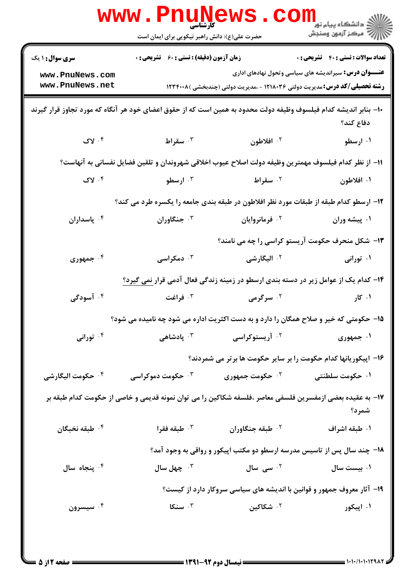|                                                                                                                  | <b>www.Pnunews</b><br>حضرت علی(ع): دانش راهبر نیکویی برای ایمان است                                      |                                                                                   | ڪ دانشڪاه پيام نور ■<br> 7- مرکز آزمون وسنجش                                                               |
|------------------------------------------------------------------------------------------------------------------|----------------------------------------------------------------------------------------------------------|-----------------------------------------------------------------------------------|------------------------------------------------------------------------------------------------------------|
| <b>سری سوال : ۱ یک</b><br>www.PnuNews.com<br>www.PnuNews.net                                                     | <b>زمان آزمون (دقیقه) : تستی : 60 ٪ تشریحی : 0</b>                                                       | <b>رشته تحصیلی/کد درس:</b> مدیریت دولتی ۱۲۱۸۰۳۶ - ،مدیریت دولتی (چندبخشی )۱۲۳۴۰۰۸ | <b>تعداد سوالات : تستی : 40 قشریحی : 0</b><br><b>عنـــوان درس:</b> سیراندیشه های سیاسی وتحول نهادهای اداری |
| ∙ا− بنابر اندیشه کدام فیلسوف وظیفه دولت محدود به همین است که از حقوق اعضای خود هر آنگاه که مورد تجاوز قرار گیرند |                                                                                                          |                                                                                   | دفاع كند؟                                                                                                  |
| $y \cdot f$                                                                                                      | ۰۳ سقراط                                                                                                 | ۰۲ افلاطون                                                                        | ۰۱ ارسطو                                                                                                   |
|                                                                                                                  | 11– از نظر كدام فيلسوف مهمترين وظيفه دولت اصلاح عيوب اخلاقي شهروندان و تلقين فضايل نفساني به آنهاست؟     |                                                                                   |                                                                                                            |
| $y \cdot f$                                                                                                      | ۰۳ ارسطو                                                                                                 | ۰ <sup>۲</sup> سقراط                                                              | ۰۱ افلاطون                                                                                                 |
|                                                                                                                  | ۱۲– ارسطو کدام طبقه از طبقات مورد نظر افلاطون در طبقه بندی جامعه را یکسره طرد می کند؟                    |                                                                                   |                                                                                                            |
| ۰۴ پاسداران                                                                                                      | ۰۳ جنگاوران                                                                                              | ۰ <sup>۲</sup> فرمانروایان                                                        | ۰۱ پیشه وران                                                                                               |
|                                                                                                                  |                                                                                                          | ۱۳- شکل منحرف حکومت آریستو کراسی را چه می نامند؟                                  |                                                                                                            |
| ۰۴ جمهوری                                                                                                        | ۰ <sup>۳</sup> دمکراسی                                                                                   | ۰ <sup>۲</sup> الیگارشی                                                           | ۰۱ تورانی                                                                                                  |
|                                                                                                                  | ۱۴– کدام یک از عوامل زیر در دسته بندی ارسطو در زمینه زندگی فعال آدمی قرار <u>ن</u> می گیرد؟              |                                                                                   |                                                                                                            |
| ۰۴ آسودگی                                                                                                        | ۰۳ فراغت                                                                                                 | ۰ <sup>۲</sup> سرگرمی                                                             | ۰۱ کار                                                                                                     |
|                                                                                                                  | ۱۵– حکومتی که خیر و صلاح همگان را دارد و به دست اکثریت اداره می شود چه نامیده می شود؟                    |                                                                                   |                                                                                                            |
| ۰۴ تورانی                                                                                                        |                                                                                                          | <sup>۲.</sup> آریستوکراسی سیسته ۲۰ پادشاهی                                        | ۰۱ جمهوری                                                                                                  |
|                                                                                                                  |                                                                                                          | ۱۶– اپیکوریانها کدام حکومت را بر سایر حکومت ها برتر می شمردند؟                    |                                                                                                            |
| ۰ <sup>۴</sup> حکومت الیگارشی                                                                                    | ۰ <sup>۳</sup> حکومت دموکراسی                                                                            | ۰ <sup>۲</sup> حکومت جمهوری                                                       | ۰۱ حکومت سلطنتی                                                                                            |
|                                                                                                                  | ۱۷– به عقیده بعضی ازمفسرین فلسفی معاصر ،فلسفه شکاکین را می توان نمونه قدیمی و خاصی از حکومت کدام طبقه بر |                                                                                   | شمرد؟                                                                                                      |
| ۰ <sup>۴</sup> طبقه نخبگان                                                                                       | طبقه فقرا $\cdot$ $^{\circ}$                                                                             | ۰ <sup>۲</sup> طبقه جنگاوران                                                      | ۰۱ طبقه اشراف                                                                                              |
|                                                                                                                  |                                                                                                          | ۱۸– چند سال پس از تاسیس مدرسه ارسطو دو مکتب اپیکور و رواقی به وجود آمد؟           |                                                                                                            |
| ۰۴ پنجاه سال                                                                                                     | ب چهل سال $\cdot$                                                                                        | <sup>۲.</sup> سی سال                                                              | ۰۱ بیست سال                                                                                                |
|                                                                                                                  |                                                                                                          | ۱۹- آثار معروف جمهور و قوانین با اندیشه های سیاسی سروکار دارد از کیست؟            |                                                                                                            |
| ۰۴ سیسرون                                                                                                        | ۰۳ سنگا                                                                                                  | ۰۲ شکاکین                                                                         | ۰۱ اپیکور                                                                                                  |
|                                                                                                                  |                                                                                                          |                                                                                   |                                                                                                            |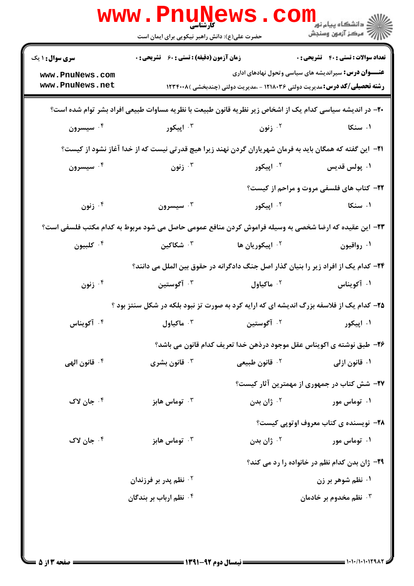|                                           | <b>WWW.Pnunews</b><br>حضرت علی(ع): دانش راهبر نیکویی برای ایمان است                                            |                                                                                     | ر دانشگاه پیام نور ■<br>ارا دانشگاه پیام نور          |
|-------------------------------------------|----------------------------------------------------------------------------------------------------------------|-------------------------------------------------------------------------------------|-------------------------------------------------------|
| <b>سری سوال : ۱ یک</b><br>www.PnuNews.com | <b>زمان آزمون (دقیقه) : تستی : 60 ٪ تشریحی : 0</b>                                                             | <b>عنـــوان درس:</b> سیراندیشه های سیاسی وتحول نهادهای اداری                        | <b>تعداد سوالات : تستي : 40 - تشريحي : 0</b>          |
| www.PnuNews.net                           |                                                                                                                | <b>رشته تحصیلی/کد درس:</b> مدیریت دولتی ۱۲۱۸۰۳۶ - ،مدیریت دولتی (چندبخشی )۱۲۳۴۰۰۸   |                                                       |
|                                           | +۲- در اندیشه سیاسی کدام یک از اشخاص زیر نظریه قانون طبیعت با نظریه مساوات طبیعی افراد بشر توام شده است؟       |                                                                                     |                                                       |
| ۰۴ سیسرون                                 | ۰۳ اپیکور                                                                                                      | ۰۲ زنون                                                                             | ۰۱ سنکا                                               |
|                                           | <b>ا۲− این گفته که همگان باید به فرمان شهریاران گردن نهند زیرا هیچ قدرتی نیست که از خدا آغاز نشود از کیست؟</b> |                                                                                     |                                                       |
| ۰۴ سیسرون                                 | زنون $\cdot^{\mathsf{r}}$                                                                                      | <sup>۲.</sup> اپیکور                                                                | ۰۱ پولس قديس                                          |
|                                           |                                                                                                                |                                                                                     | <b>۲۲</b> - کتاب های فلسفی مروت و مراحم از کیست؟      |
| زنون $\cdot$ ۴                            | سيسرون $\cdot^{\mathsf{v}}$                                                                                    | ۰ <sup>۲</sup> اپیکور                                                               | ۰۱ سنکا                                               |
|                                           | ۲۳– این عقیده که ارضا شخصی به وسیله فراموش کردن منافع عمومی حاصل می شود مربوط به کدام مکتب فلسفی است؟          |                                                                                     |                                                       |
| ۰۴ کلبیون                                 | ۰ <sup>۳</sup> شکاکین                                                                                          | <sup>۲.</sup> اپیکوریان ها                                                          | ۰۱ رواقیون                                            |
|                                           |                                                                                                                | ۲۴– کدام یک از افراد زیر را بنیان گذار اصل جنگ دادگرانه در حقوق بین الملل می دانند؟ |                                                       |
| زنون $\cdot^{\mathsf{F}}$                 | ۰ <sup>۳</sup> آگوستین                                                                                         | ۰ <sup>۲</sup> ماکیاول                                                              | ۰۱ آکویناس                                            |
|                                           | ۲۵- کدام یک از فلاسفه بزرگ اندیشه ای که ارایه کرد به صورت تز نبود بلکه در شکل سنتز بود ؟                       |                                                                                     |                                                       |
| ۰۴ آکویناس                                |                                                                                                                | ۰ <sup>۲ آ</sup> گوستین مسل <sup>۳ آگ</sup> ماکیاول <sup>۲</sup> ۰                  | ۰۱ اپیکور                                             |
|                                           |                                                                                                                | ۲۶- طبق نوشته ی اکویناس عقل موجود درذهن خدا تعریف کدام قانون می باشد؟               |                                                       |
| ۰۴ قانون الهي                             | قانون بشرى $\cdot^{\mathsf{r}}$                                                                                | ۰ <sup>۲</sup> قانون طبیعی                                                          | ۰۱ قانون ازلی                                         |
|                                           |                                                                                                                |                                                                                     | ۲۷- شش کتاب در جمهوری از مهمترین آثار کیست؟           |
| ۰۴ جان لاک                                | توماس هابز $\cdot$                                                                                             | زان بدن $^\gamma$                                                                   | ۰۱ توماس مور                                          |
|                                           |                                                                                                                |                                                                                     | <b>۲۸</b> - نویسنده ی کتاب معروف اوتوپی کیست؟         |
| ۰ <sup>۴</sup> جان لاک                    | توماس هابز $\cdot$ "                                                                                           | زان بدن $^\circ$                                                                    | ۰۱ توماس مور                                          |
|                                           |                                                                                                                |                                                                                     | <b>۲۹</b> - ژان بدن کدام نظم در خانواده را رد می کند؟ |
|                                           | ۰ <sup>۲</sup> نظم پدر بر فرزندان                                                                              |                                                                                     | ۰۱ نظم شوهر بر زن                                     |
|                                           | ۰۴ نظم ارباب بر بندگان                                                                                         |                                                                                     | ۰۳ نظم مخدوم بر خادمان                                |
|                                           |                                                                                                                |                                                                                     |                                                       |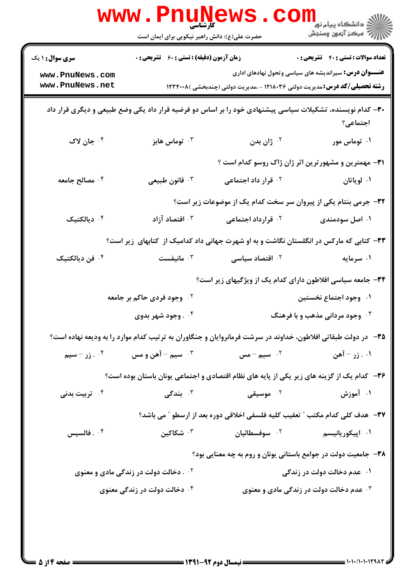|                                                                                                                      | <b>WWW.PNUN</b><br><b>کارشناسی</b><br>حضرت علی(ع): دانش راهبر نیکویی برای ایمان است                          |                                                                                   | ر دانشگاه پيام نور ■<br>//<br>// مرکز آزمون وسنجش                            |
|----------------------------------------------------------------------------------------------------------------------|--------------------------------------------------------------------------------------------------------------|-----------------------------------------------------------------------------------|------------------------------------------------------------------------------|
| <b>سری سوال : ۱ یک</b>                                                                                               | <b>زمان آزمون (دقیقه) : تستی : 60 ٪ تشریحی : 0</b>                                                           |                                                                                   | <b>تعداد سوالات : تستي : 40 - تشريحي : 0</b>                                 |
| www.PnuNews.com<br>www.PnuNews.net                                                                                   |                                                                                                              | <b>رشته تحصیلی/کد درس:</b> مدیریت دولتی ۱۲۱۸۰۳۶ - ،مدیریت دولتی (چندبخشی )۱۲۳۴۰۰۸ | <b>عنـــوان درس:</b> سیراندیشه های سیاسی وتحول نهادهای اداری                 |
| ۳۰– کدام نویسنده، تشکیلات سیاسی پیشنهادی خود را بر اساس دو فرضیه قرار داد یکی وضع طبیعی و دیگری قرار داد<br>اجتماعی؟ |                                                                                                              |                                                                                   |                                                                              |
| ۰۴ جان لاک                                                                                                           | توماس هابز $\cdot$                                                                                           | ۰ <sup>۲</sup> ژان بدن                                                            | ۰۱ توماس مور                                                                 |
|                                                                                                                      |                                                                                                              |                                                                                   | ۳۱- مهمترین و مشهورترین اثر ژان ژاک روسو کدام است ؟                          |
| ۰۴ مصالح جامعه                                                                                                       | ۰ <sup>۳</sup> قانون طبیعی                                                                                   | <sup>۲.</sup> قرار داد اجتماعی                                                    | ۰۱ لویاتان                                                                   |
|                                                                                                                      |                                                                                                              |                                                                                   | 32- جرمی بنتام یکی از پیروان سر سخت کدام یک از موضوعات زیر است؟              |
| دیالکتیک $\cdot^{\mathfrak k}$                                                                                       | اقتصاد آزاد $\cdot$                                                                                          | ۰ <sup>۲</sup> قرارداد اجتماعی                                                    | ۰۱ اصل سودمندی                                                               |
|                                                                                                                      | ۳۳- کتابی که مارکس در انگلستان نگاشت و به او شهرت جهانی داد کدامیک از کتابهای زیر است؟                       |                                                                                   |                                                                              |
| ۰۴ فن دیالکتیک                                                                                                       | انیفست $\cdot$ "                                                                                             | ۰ <sup>۲</sup> اقتصاد سیاسی                                                       | ۰۱ سرمایه                                                                    |
|                                                                                                                      |                                                                                                              |                                                                                   | ۳۴- جامعه سیاسی افلاطون دارای کدام یک از ویژگیهای زیر است؟                   |
|                                                                                                                      | <sup>۲</sup> ۰ وجود فردی حاکم بر جامعه                                                                       |                                                                                   | ۰۱ وجود اجتماع نخستین                                                        |
|                                                                                                                      | ۰۴ وجود شهر بدوی                                                                                             |                                                                                   | ۰۳ وجود مردانی مذهب و با فرهنگ                                               |
|                                                                                                                      | ۳۵- در دولت طبقاتی افلاطون، خداوند در سرشت فرمانروایان و جنگاوران به ترتیب کدام موارد را به ودیعه نهاده است؟ |                                                                                   |                                                                              |
| زر - سيم $\cdot\cdot$                                                                                                | ۰ <sup>۳</sup> سیم – آهن و مس                                                                                | ۰۲ سیم $-$ مس $\,$                                                                | ۰۱ زر – آهن                                                                  |
|                                                                                                                      | ۳۶- کدام یک از گزینه های زیر یکی از پایه های نظام اقتصادی و اجتماعی یونان باستان بوده است؟                   |                                                                                   |                                                                              |
| ۰ <sup>۴</sup> تربیت بدنی                                                                                            | بندگی $\cdot$                                                                                                | ۰ <sup>۲</sup> موسیقی                                                             | ۰۱ آموزش                                                                     |
|                                                                                                                      |                                                                                                              |                                                                                   | ٣٧- هدف كلي كدام مكتب " تعقيب كليه فلسفى اخلاقي دوره بعد از ارسطو " مي باشد؟ |
| فالسيس $\cdot$ $^{\circ}$                                                                                            | شكاكين $\cdot$ "                                                                                             | ۰ <sup>۲</sup> سوفسطائیان                                                         | ۰۱ اپیکوریانیسم                                                              |
|                                                                                                                      |                                                                                                              |                                                                                   | ۳۸- جامعیت دولت در جوامع باستانی یونان و روم به چه معنایی بود؟               |
|                                                                                                                      | ۰ <sup>۲</sup> کخالت دولت در زندگی مادی و معنوی                                                              |                                                                                   | ۰۱ عدم دخالت دولت در زندگی                                                   |
|                                                                                                                      | ۰۴ دخالت دولت در زندگی معنوی                                                                                 |                                                                                   | <b>۳ . عدم دخالت دولت در زندگی مادی و معنوی</b>                              |
|                                                                                                                      |                                                                                                              |                                                                                   |                                                                              |